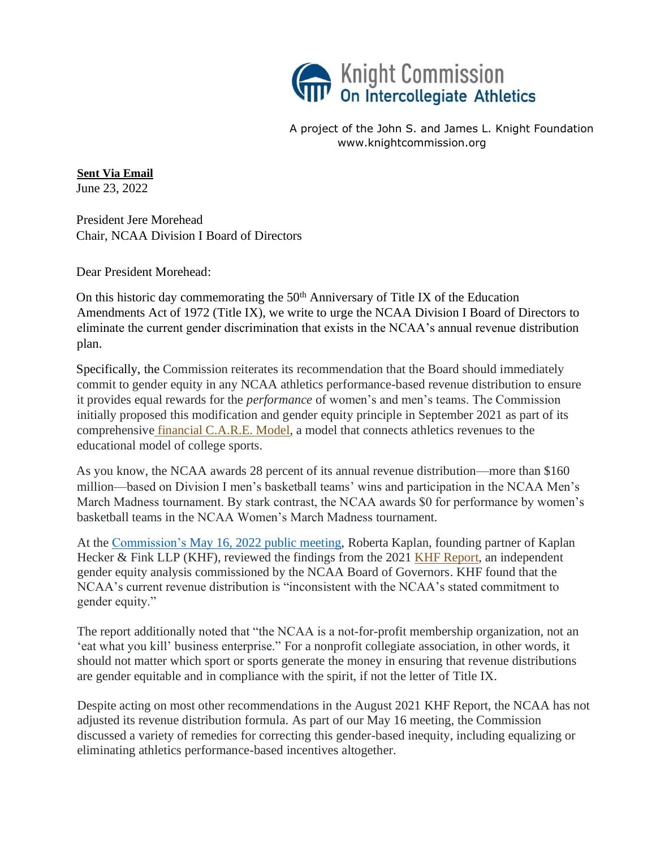

A project of the John S. and James L. Knight Foundation www.knightcommission.org

**Sent Via Email** June 23, 2022

President Jere Morehead Chair, NCAA Division I Board of Directors

Dear President Morehead:

On this historic day commemorating the  $50<sup>th</sup>$  Anniversary of Title IX of the Education Amendments Act of 1972 (Title IX), we write to urge the NCAA Division I Board of Directors to eliminate the current gender discrimination that exists in the NCAA's annual revenue distribution plan.

Specifically, the Commission reiterates its recommendation that the Board should immediately commit to gender equity in any NCAA athletics performance-based revenue distribution to ensure it provides equal rewards for the *performance* of women's and men's teams. The Commission initially proposed this modification and gender equity principle in September 2021 as part of its comprehensive [financial C.A.R.E. Model,](https://www.knightcommission.org/c-a-r-e-model-report-and-resources/) a model that connects athletics revenues to the educational model of college sports.

As you know, the NCAA awards 28 percent of its annual revenue distribution—more than \$160 million—based on Division I men's basketball teams' wins and participation in the NCAA Men's March Madness tournament. By stark contrast, the NCAA awards \$0 for performance by women's basketball teams in the NCAA Women's March Madness tournament.

At the [Commission's May 16, 2022 public meeting,](https://www.knightcommission.org/2022/05/may-16-release/) Roberta Kaplan, founding partner of Kaplan Hecker & Fink LLP (KHF), reviewed the findings from the 2021 KHF [Report,](https://ncaagenderequityreview.com/) an independent gender equity analysis commissioned by the NCAA Board of Governors. KHF found that the NCAA's current revenue distribution is "inconsistent with the NCAA's stated commitment to gender equity."

The report additionally noted that "the NCAA is a not-for-profit membership organization, not an 'eat what you kill' business enterprise." For a nonprofit collegiate association, in other words, it should not matter which sport or sports generate the money in ensuring that revenue distributions are gender equitable and in compliance with the spirit, if not the letter of Title IX.

Despite acting on most other recommendations in the August 2021 KHF Report, the NCAA has not adjusted its revenue distribution formula. As part of our May 16 meeting, the Commission discussed a variety of remedies for correcting this gender-based inequity, including equalizing or eliminating athletics performance-based incentives altogether.